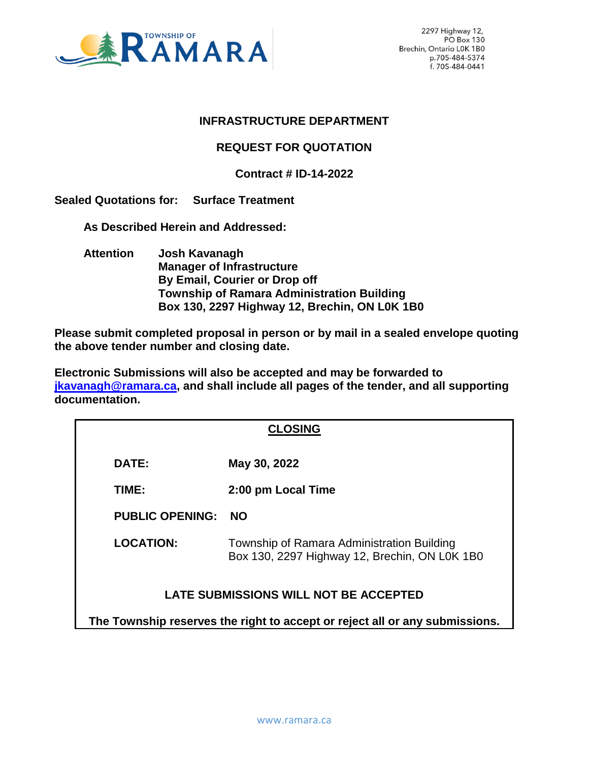

# **INFRASTRUCTURE DEPARTMENT**

# **REQUEST FOR QUOTATION**

# **Contract # ID-14-2022**

**Sealed Quotations for: Surface Treatment**

 **As Described Herein and Addressed:** 

 **Attention Josh Kavanagh Manager of Infrastructure By Email, Courier or Drop off Township of Ramara Administration Building Box 130, 2297 Highway 12, Brechin, ON L0K 1B0**

**Please submit completed proposal in person or by mail in a sealed envelope quoting the above tender number and closing date.**

**Electronic Submissions will also be accepted and may be forwarded to [jkavanagh@ramara.ca,](mailto:jkavanagh@ramara.ca) and shall include all pages of the tender, and all supporting documentation.** 

| <b>CLOSING</b>                                                              |                                                                                             |  |
|-----------------------------------------------------------------------------|---------------------------------------------------------------------------------------------|--|
| DATE:                                                                       | May 30, 2022                                                                                |  |
| TIME:                                                                       | 2:00 pm Local Time                                                                          |  |
| <b>PUBLIC OPENING:</b>                                                      | <b>NO</b>                                                                                   |  |
| <b>LOCATION:</b>                                                            | Township of Ramara Administration Building<br>Box 130, 2297 Highway 12, Brechin, ON LOK 1B0 |  |
| LATE SUBMISSIONS WILL NOT BE ACCEPTED                                       |                                                                                             |  |
| The Township reserves the right to accept or reject all or any submissions. |                                                                                             |  |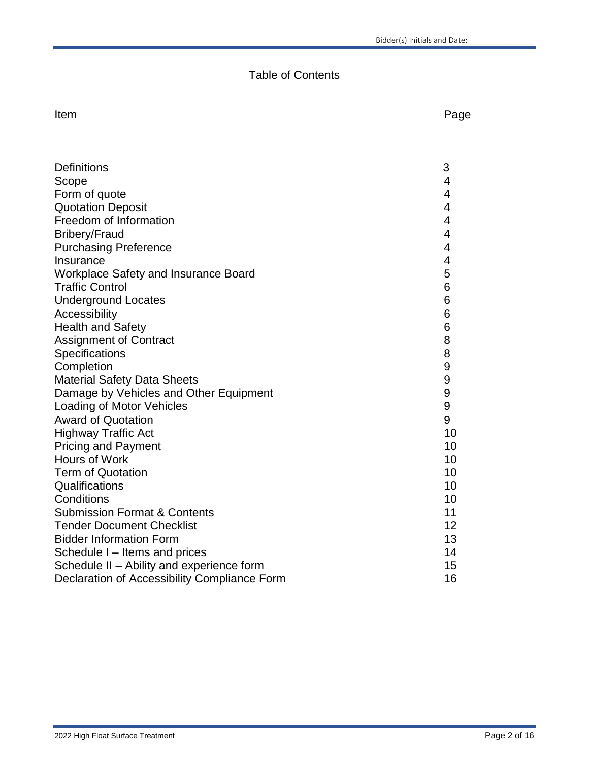# Table of Contents

Item **International Contract Contract Contract Contract Contract Contract Contract Contract Contract Contract Contract Contract Contract Contract Contract Contract Contract Contract Contract Contract Contract Contract Cont** 

| <b>Definitions</b>                           | 3                |
|----------------------------------------------|------------------|
| Scope                                        | 4                |
| Form of quote                                | 4                |
| <b>Quotation Deposit</b>                     | 4                |
| Freedom of Information                       | 4                |
| <b>Bribery/Fraud</b>                         | 4                |
| <b>Purchasing Preference</b>                 | 4                |
| Insurance                                    | 4                |
| <b>Workplace Safety and Insurance Board</b>  | 5                |
| <b>Traffic Control</b>                       | 6                |
| <b>Underground Locates</b>                   | 6                |
| Accessibility                                | 6                |
| <b>Health and Safety</b>                     | 6                |
| <b>Assignment of Contract</b>                | 8                |
| Specifications                               | 8                |
| Completion                                   | 9                |
| <b>Material Safety Data Sheets</b>           | 9                |
| Damage by Vehicles and Other Equipment       | 9                |
| Loading of Motor Vehicles                    | $\boldsymbol{9}$ |
| <b>Award of Quotation</b>                    | 9                |
| <b>Highway Traffic Act</b>                   | 10               |
| <b>Pricing and Payment</b>                   | 10               |
| Hours of Work                                | 10               |
| <b>Term of Quotation</b>                     | 10               |
| Qualifications                               | 10               |
| Conditions                                   | 10               |
| <b>Submission Format &amp; Contents</b>      | 11               |
| <b>Tender Document Checklist</b>             | 12               |
| <b>Bidder Information Form</b>               | 13               |
| Schedule I - Items and prices                | 14               |
| Schedule II - Ability and experience form    | 15               |
| Declaration of Accessibility Compliance Form | 16               |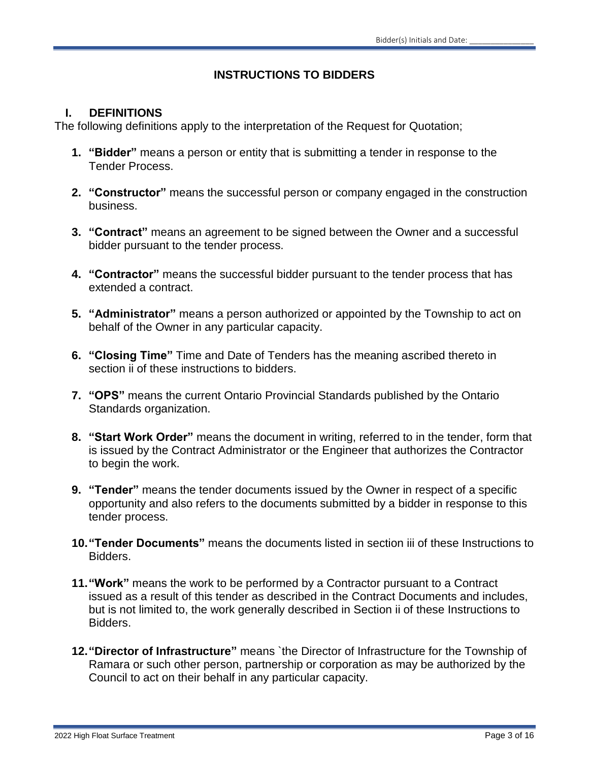# **INSTRUCTIONS TO BIDDERS**

#### **I. DEFINITIONS**

The following definitions apply to the interpretation of the Request for Quotation;

- **1. "Bidder"** means a person or entity that is submitting a tender in response to the Tender Process.
- **2. "Constructor"** means the successful person or company engaged in the construction business.
- **3. "Contract"** means an agreement to be signed between the Owner and a successful bidder pursuant to the tender process.
- **4. "Contractor"** means the successful bidder pursuant to the tender process that has extended a contract.
- **5. "Administrator"** means a person authorized or appointed by the Township to act on behalf of the Owner in any particular capacity.
- **6. "Closing Time"** Time and Date of Tenders has the meaning ascribed thereto in section ii of these instructions to bidders.
- **7. "OPS"** means the current Ontario Provincial Standards published by the Ontario Standards organization.
- **8. "Start Work Order"** means the document in writing, referred to in the tender, form that is issued by the Contract Administrator or the Engineer that authorizes the Contractor to begin the work.
- **9. "Tender"** means the tender documents issued by the Owner in respect of a specific opportunity and also refers to the documents submitted by a bidder in response to this tender process.
- **10."Tender Documents"** means the documents listed in section iii of these Instructions to Bidders.
- **11."Work"** means the work to be performed by a Contractor pursuant to a Contract issued as a result of this tender as described in the Contract Documents and includes, but is not limited to, the work generally described in Section ii of these Instructions to Bidders.
- **12."Director of Infrastructure"** means `the Director of Infrastructure for the Township of Ramara or such other person, partnership or corporation as may be authorized by the Council to act on their behalf in any particular capacity.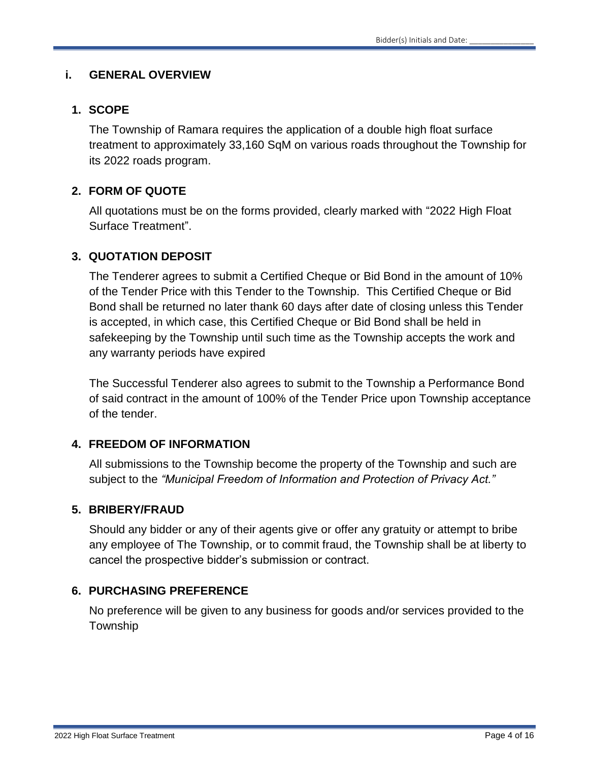#### **i. GENERAL OVERVIEW**

# **1. SCOPE**

The Township of Ramara requires the application of a double high float surface treatment to approximately 33,160 SqM on various roads throughout the Township for its 2022 roads program.

# **2. FORM OF QUOTE**

All quotations must be on the forms provided, clearly marked with "2022 High Float Surface Treatment".

# **3. QUOTATION DEPOSIT**

The Tenderer agrees to submit a Certified Cheque or Bid Bond in the amount of 10% of the Tender Price with this Tender to the Township. This Certified Cheque or Bid Bond shall be returned no later thank 60 days after date of closing unless this Tender is accepted, in which case, this Certified Cheque or Bid Bond shall be held in safekeeping by the Township until such time as the Township accepts the work and any warranty periods have expired

The Successful Tenderer also agrees to submit to the Township a Performance Bond of said contract in the amount of 100% of the Tender Price upon Township acceptance of the tender.

# **4. FREEDOM OF INFORMATION**

All submissions to the Township become the property of the Township and such are subject to the *"Municipal Freedom of Information and Protection of Privacy Act."*

# **5. BRIBERY/FRAUD**

Should any bidder or any of their agents give or offer any gratuity or attempt to bribe any employee of The Township, or to commit fraud, the Township shall be at liberty to cancel the prospective bidder's submission or contract.

# **6. PURCHASING PREFERENCE**

No preference will be given to any business for goods and/or services provided to the Township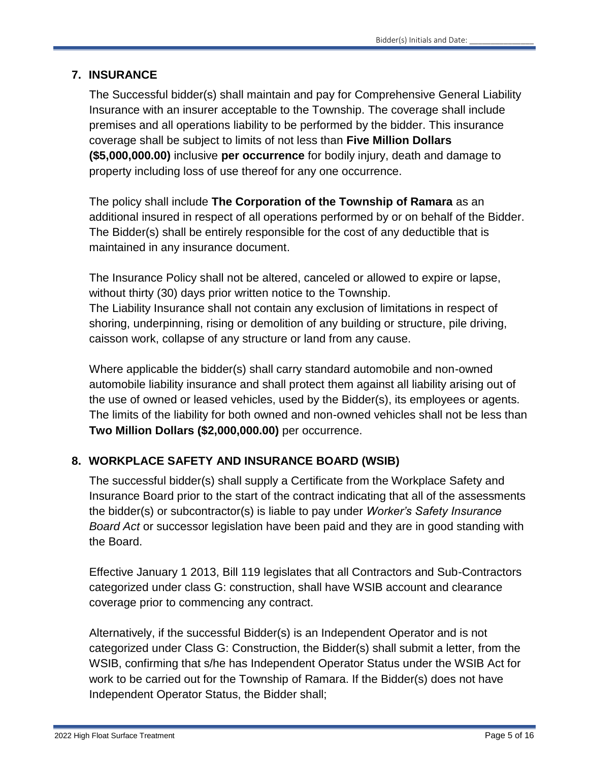# **7. INSURANCE**

The Successful bidder(s) shall maintain and pay for Comprehensive General Liability Insurance with an insurer acceptable to the Township. The coverage shall include premises and all operations liability to be performed by the bidder. This insurance coverage shall be subject to limits of not less than **Five Million Dollars (\$5,000,000.00)** inclusive **per occurrence** for bodily injury, death and damage to property including loss of use thereof for any one occurrence.

The policy shall include **The Corporation of the Township of Ramara** as an additional insured in respect of all operations performed by or on behalf of the Bidder. The Bidder(s) shall be entirely responsible for the cost of any deductible that is maintained in any insurance document.

The Insurance Policy shall not be altered, canceled or allowed to expire or lapse, without thirty (30) days prior written notice to the Township. The Liability Insurance shall not contain any exclusion of limitations in respect of shoring, underpinning, rising or demolition of any building or structure, pile driving, caisson work, collapse of any structure or land from any cause.

Where applicable the bidder(s) shall carry standard automobile and non-owned automobile liability insurance and shall protect them against all liability arising out of the use of owned or leased vehicles, used by the Bidder(s), its employees or agents. The limits of the liability for both owned and non-owned vehicles shall not be less than **Two Million Dollars (\$2,000,000.00)** per occurrence.

# **8. WORKPLACE SAFETY AND INSURANCE BOARD (WSIB)**

The successful bidder(s) shall supply a Certificate from the Workplace Safety and Insurance Board prior to the start of the contract indicating that all of the assessments the bidder(s) or subcontractor(s) is liable to pay under *Worker's Safety Insurance Board Act* or successor legislation have been paid and they are in good standing with the Board.

Effective January 1 2013, Bill 119 legislates that all Contractors and Sub-Contractors categorized under class G: construction, shall have WSIB account and clearance coverage prior to commencing any contract.

Alternatively, if the successful Bidder(s) is an Independent Operator and is not categorized under Class G: Construction, the Bidder(s) shall submit a letter, from the WSIB, confirming that s/he has Independent Operator Status under the WSIB Act for work to be carried out for the Township of Ramara. If the Bidder(s) does not have Independent Operator Status, the Bidder shall;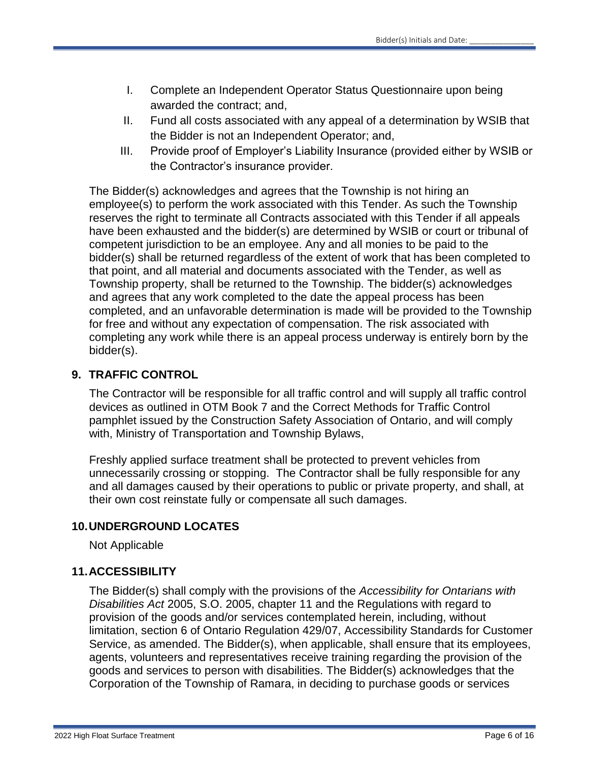- I. Complete an Independent Operator Status Questionnaire upon being awarded the contract; and,
- II. Fund all costs associated with any appeal of a determination by WSIB that the Bidder is not an Independent Operator; and,
- III. Provide proof of Employer's Liability Insurance (provided either by WSIB or the Contractor's insurance provider.

The Bidder(s) acknowledges and agrees that the Township is not hiring an employee(s) to perform the work associated with this Tender. As such the Township reserves the right to terminate all Contracts associated with this Tender if all appeals have been exhausted and the bidder(s) are determined by WSIB or court or tribunal of competent jurisdiction to be an employee. Any and all monies to be paid to the bidder(s) shall be returned regardless of the extent of work that has been completed to that point, and all material and documents associated with the Tender, as well as Township property, shall be returned to the Township. The bidder(s) acknowledges and agrees that any work completed to the date the appeal process has been completed, and an unfavorable determination is made will be provided to the Township for free and without any expectation of compensation. The risk associated with completing any work while there is an appeal process underway is entirely born by the bidder(s).

# **9. TRAFFIC CONTROL**

The Contractor will be responsible for all traffic control and will supply all traffic control devices as outlined in OTM Book 7 and the Correct Methods for Traffic Control pamphlet issued by the Construction Safety Association of Ontario, and will comply with, Ministry of Transportation and Township Bylaws,

Freshly applied surface treatment shall be protected to prevent vehicles from unnecessarily crossing or stopping. The Contractor shall be fully responsible for any and all damages caused by their operations to public or private property, and shall, at their own cost reinstate fully or compensate all such damages.

# **10.UNDERGROUND LOCATES**

Not Applicable

# **11.ACCESSIBILITY**

The Bidder(s) shall comply with the provisions of the *Accessibility for Ontarians with Disabilities Act* 2005, S.O. 2005, chapter 11 and the Regulations with regard to provision of the goods and/or services contemplated herein, including, without limitation, section 6 of Ontario Regulation 429/07, Accessibility Standards for Customer Service, as amended. The Bidder(s), when applicable, shall ensure that its employees, agents, volunteers and representatives receive training regarding the provision of the goods and services to person with disabilities. The Bidder(s) acknowledges that the Corporation of the Township of Ramara, in deciding to purchase goods or services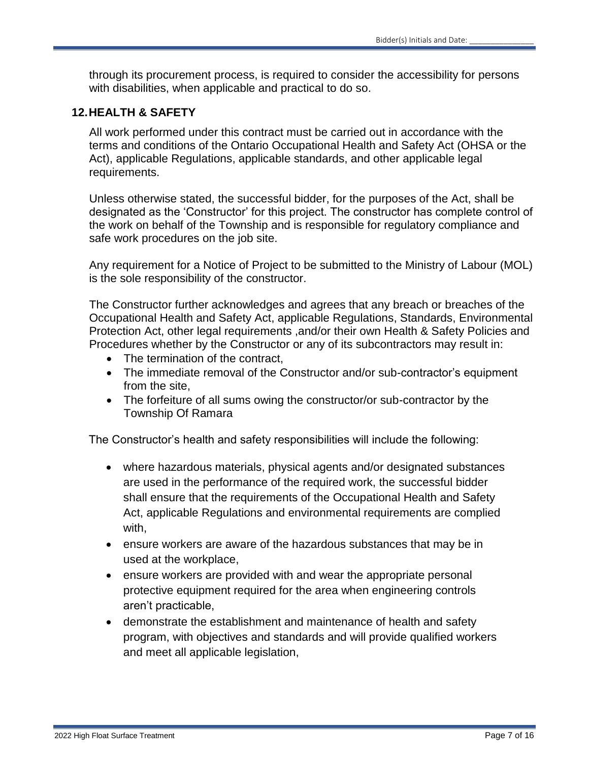through its procurement process, is required to consider the accessibility for persons with disabilities, when applicable and practical to do so.

#### **12.HEALTH & SAFETY**

All work performed under this contract must be carried out in accordance with the terms and conditions of the Ontario Occupational Health and Safety Act (OHSA or the Act), applicable Regulations, applicable standards, and other applicable legal requirements.

Unless otherwise stated, the successful bidder, for the purposes of the Act, shall be designated as the 'Constructor' for this project. The constructor has complete control of the work on behalf of the Township and is responsible for regulatory compliance and safe work procedures on the job site.

Any requirement for a Notice of Project to be submitted to the Ministry of Labour (MOL) is the sole responsibility of the constructor.

The Constructor further acknowledges and agrees that any breach or breaches of the Occupational Health and Safety Act, applicable Regulations, Standards, Environmental Protection Act, other legal requirements ,and/or their own Health & Safety Policies and Procedures whether by the Constructor or any of its subcontractors may result in:

- The termination of the contract.
- The immediate removal of the Constructor and/or sub-contractor's equipment from the site,
- The forfeiture of all sums owing the constructor/or sub-contractor by the Township Of Ramara

The Constructor's health and safety responsibilities will include the following:

- where hazardous materials, physical agents and/or designated substances are used in the performance of the required work, the successful bidder shall ensure that the requirements of the Occupational Health and Safety Act, applicable Regulations and environmental requirements are complied with,
- ensure workers are aware of the hazardous substances that may be in used at the workplace,
- ensure workers are provided with and wear the appropriate personal protective equipment required for the area when engineering controls aren't practicable,
- demonstrate the establishment and maintenance of health and safety program, with objectives and standards and will provide qualified workers and meet all applicable legislation,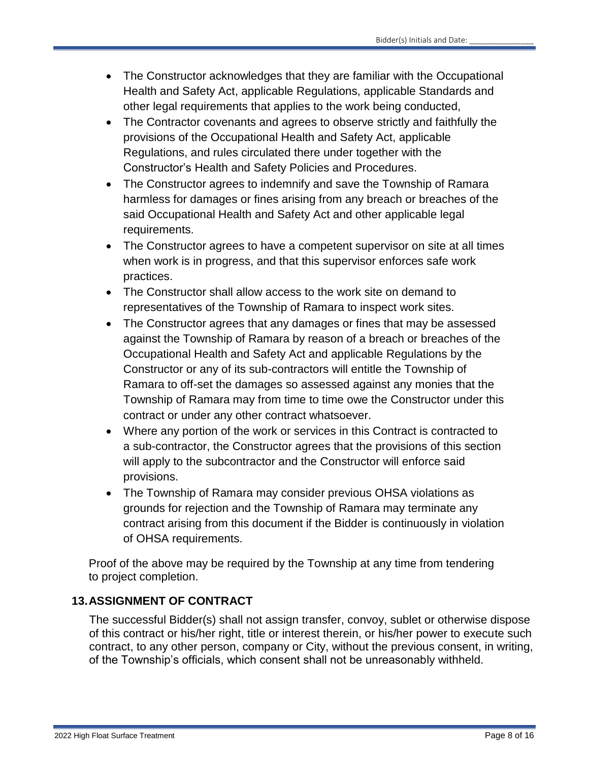- The Constructor acknowledges that they are familiar with the Occupational Health and Safety Act, applicable Regulations, applicable Standards and other legal requirements that applies to the work being conducted,
- The Contractor covenants and agrees to observe strictly and faithfully the provisions of the Occupational Health and Safety Act, applicable Regulations, and rules circulated there under together with the Constructor's Health and Safety Policies and Procedures.
- The Constructor agrees to indemnify and save the Township of Ramara harmless for damages or fines arising from any breach or breaches of the said Occupational Health and Safety Act and other applicable legal requirements.
- The Constructor agrees to have a competent supervisor on site at all times when work is in progress, and that this supervisor enforces safe work practices.
- The Constructor shall allow access to the work site on demand to representatives of the Township of Ramara to inspect work sites.
- The Constructor agrees that any damages or fines that may be assessed against the Township of Ramara by reason of a breach or breaches of the Occupational Health and Safety Act and applicable Regulations by the Constructor or any of its sub-contractors will entitle the Township of Ramara to off-set the damages so assessed against any monies that the Township of Ramara may from time to time owe the Constructor under this contract or under any other contract whatsoever.
- Where any portion of the work or services in this Contract is contracted to a sub-contractor, the Constructor agrees that the provisions of this section will apply to the subcontractor and the Constructor will enforce said provisions.
- The Township of Ramara may consider previous OHSA violations as grounds for rejection and the Township of Ramara may terminate any contract arising from this document if the Bidder is continuously in violation of OHSA requirements.

Proof of the above may be required by the Township at any time from tendering to project completion.

# **13.ASSIGNMENT OF CONTRACT**

The successful Bidder(s) shall not assign transfer, convoy, sublet or otherwise dispose of this contract or his/her right, title or interest therein, or his/her power to execute such contract, to any other person, company or City, without the previous consent, in writing, of the Township's officials, which consent shall not be unreasonably withheld.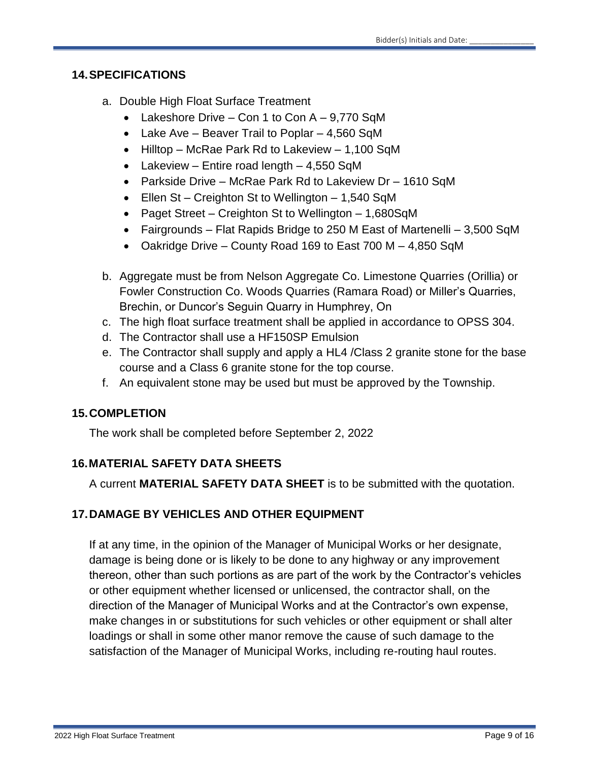#### **14.SPECIFICATIONS**

- a. Double High Float Surface Treatment
	- Lakeshore Drive Con 1 to Con  $A 9,770$  SqM
	- Lake Ave Beaver Trail to Poplar 4,560 SqM
	- Hilltop McRae Park Rd to Lakeview 1,100 SqM
	- Lakeview Entire road length  $4,550$  SqM
	- Parkside Drive McRae Park Rd to Lakeview Dr 1610 SqM
	- Ellen St Creighton St to Wellington 1,540 SqM
	- Paget Street Creighton St to Wellington 1,680SqM
	- Fairgrounds Flat Rapids Bridge to 250 M East of Martenelli 3,500 SqM
	- Oakridge Drive County Road 169 to East 700 M 4,850 SqM
- b. Aggregate must be from Nelson Aggregate Co. Limestone Quarries (Orillia) or Fowler Construction Co. Woods Quarries (Ramara Road) or Miller's Quarries, Brechin, or Duncor's Seguin Quarry in Humphrey, On
- c. The high float surface treatment shall be applied in accordance to OPSS 304.
- d. The Contractor shall use a HF150SP Emulsion
- e. The Contractor shall supply and apply a HL4 /Class 2 granite stone for the base course and a Class 6 granite stone for the top course.
- f. An equivalent stone may be used but must be approved by the Township.

# **15.COMPLETION**

The work shall be completed before September 2, 2022

# **16.MATERIAL SAFETY DATA SHEETS**

A current **MATERIAL SAFETY DATA SHEET** is to be submitted with the quotation.

# **17.DAMAGE BY VEHICLES AND OTHER EQUIPMENT**

If at any time, in the opinion of the Manager of Municipal Works or her designate, damage is being done or is likely to be done to any highway or any improvement thereon, other than such portions as are part of the work by the Contractor's vehicles or other equipment whether licensed or unlicensed, the contractor shall, on the direction of the Manager of Municipal Works and at the Contractor's own expense, make changes in or substitutions for such vehicles or other equipment or shall alter loadings or shall in some other manor remove the cause of such damage to the satisfaction of the Manager of Municipal Works, including re-routing haul routes.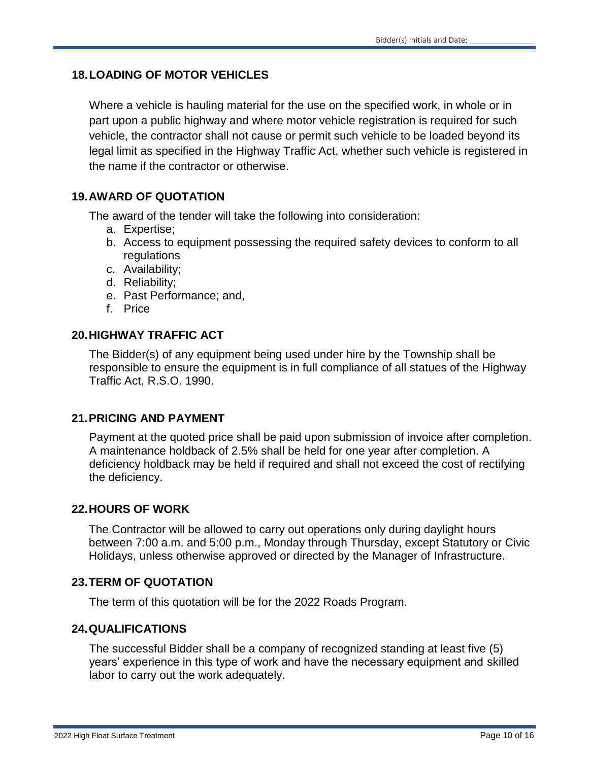# **18.LOADING OF MOTOR VEHICLES**

Where a vehicle is hauling material for the use on the specified work, in whole or in part upon a public highway and where motor vehicle registration is required for such vehicle, the contractor shall not cause or permit such vehicle to be loaded beyond its legal limit as specified in the Highway Traffic Act, whether such vehicle is registered in the name if the contractor or otherwise.

# **19.AWARD OF QUOTATION**

The award of the tender will take the following into consideration:

- a. Expertise;
- b. Access to equipment possessing the required safety devices to conform to all regulations
- c. Availability;
- d. Reliability;
- e. Past Performance; and,
- f. Price

# **20.HIGHWAY TRAFFIC ACT**

The Bidder(s) of any equipment being used under hire by the Township shall be responsible to ensure the equipment is in full compliance of all statues of the Highway Traffic Act, R.S.O. 1990.

# **21.PRICING AND PAYMENT**

Payment at the quoted price shall be paid upon submission of invoice after completion. A maintenance holdback of 2.5% shall be held for one year after completion. A deficiency holdback may be held if required and shall not exceed the cost of rectifying the deficiency.

# **22.HOURS OF WORK**

The Contractor will be allowed to carry out operations only during daylight hours between 7:00 a.m. and 5:00 p.m., Monday through Thursday, except Statutory or Civic Holidays, unless otherwise approved or directed by the Manager of Infrastructure.

# **23.TERM OF QUOTATION**

The term of this quotation will be for the 2022 Roads Program.

# **24.QUALIFICATIONS**

The successful Bidder shall be a company of recognized standing at least five (5) years' experience in this type of work and have the necessary equipment and skilled labor to carry out the work adequately.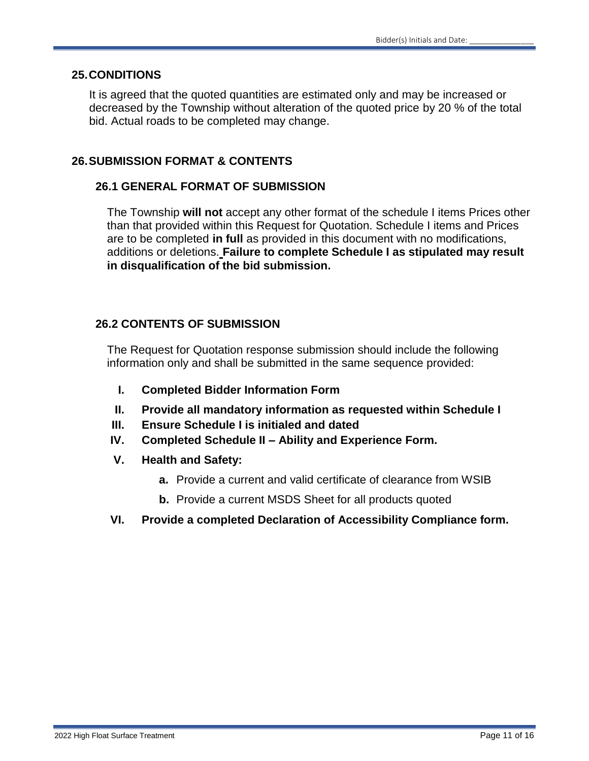#### **25.CONDITIONS**

It is agreed that the quoted quantities are estimated only and may be increased or decreased by the Township without alteration of the quoted price by 20 % of the total bid. Actual roads to be completed may change.

# **26.SUBMISSION FORMAT & CONTENTS**

# **26.1 GENERAL FORMAT OF SUBMISSION**

The Township **will not** accept any other format of the schedule I items Prices other than that provided within this Request for Quotation. Schedule I items and Prices are to be completed **in full** as provided in this document with no modifications, additions or deletions. **Failure to complete Schedule I as stipulated may result in disqualification of the bid submission.**

# **26.2 CONTENTS OF SUBMISSION**

The Request for Quotation response submission should include the following information only and shall be submitted in the same sequence provided:

- **I. Completed Bidder Information Form**
- **II. Provide all mandatory information as requested within Schedule I**
- **III. Ensure Schedule I is initialed and dated**
- **IV. Completed Schedule II – Ability and Experience Form.**
- **V. Health and Safety:**
	- **a.** Provide a current and valid certificate of clearance from WSIB
	- **b.** Provide a current MSDS Sheet for all products quoted
- **VI. Provide a completed Declaration of Accessibility Compliance form.**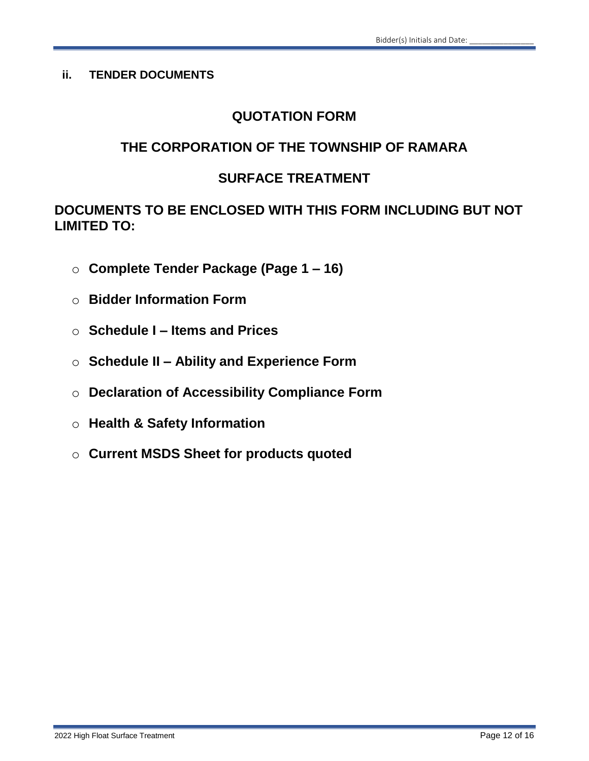# **ii. TENDER DOCUMENTS**

# **QUOTATION FORM**

# **THE CORPORATION OF THE TOWNSHIP OF RAMARA**

# **SURFACE TREATMENT**

**DOCUMENTS TO BE ENCLOSED WITH THIS FORM INCLUDING BUT NOT LIMITED TO:**

- o **Complete Tender Package (Page 1 – 16)**
- o **Bidder Information Form**
- o **Schedule I – Items and Prices**
- o **Schedule II – Ability and Experience Form**
- o **Declaration of Accessibility Compliance Form**
- o **Health & Safety Information**
- o **Current MSDS Sheet for products quoted**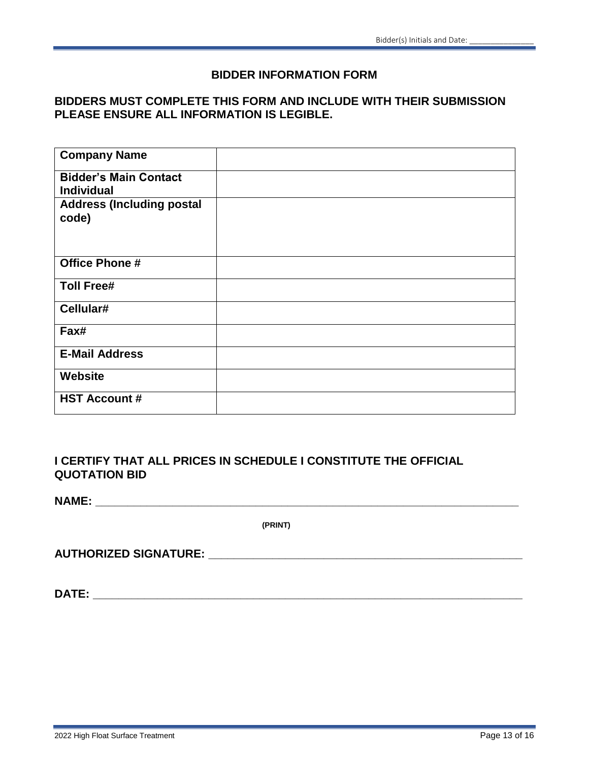#### **BIDDER INFORMATION FORM**

# **BIDDERS MUST COMPLETE THIS FORM AND INCLUDE WITH THEIR SUBMISSION PLEASE ENSURE ALL INFORMATION IS LEGIBLE.**

| <b>Company Name</b>                               |  |
|---------------------------------------------------|--|
| <b>Bidder's Main Contact</b><br><b>Individual</b> |  |
| <b>Address (Including postal</b><br>code)         |  |
| <b>Office Phone #</b>                             |  |
| <b>Toll Free#</b>                                 |  |
| Cellular#                                         |  |
| Fax#                                              |  |
| <b>E-Mail Address</b>                             |  |
| <b>Website</b>                                    |  |
| <b>HST Account #</b>                              |  |

# **I CERTIFY THAT ALL PRICES IN SCHEDULE I CONSTITUTE THE OFFICIAL QUOTATION BID**

**NAME: \_\_\_\_\_\_\_\_\_\_\_\_\_\_\_\_\_\_\_\_\_\_\_\_\_\_\_\_\_\_\_\_\_\_\_\_\_\_\_\_\_\_\_\_\_\_\_\_\_\_\_\_\_\_\_\_\_\_\_\_\_\_\_\_\_\_**

**(PRINT)**

**AUTHORIZED SIGNATURE: \_\_\_\_\_\_\_\_\_\_\_\_\_\_\_\_\_\_\_\_\_\_\_\_\_\_\_\_\_\_\_\_\_\_\_\_\_\_\_\_\_\_\_\_\_\_\_\_\_**

**DATE: \_\_\_\_\_\_\_\_\_\_\_\_\_\_\_\_\_\_\_\_\_\_\_\_\_\_\_\_\_\_\_\_\_\_\_\_\_\_\_\_\_\_\_\_\_\_\_\_\_\_\_\_\_\_\_\_\_\_\_\_\_\_\_\_\_\_\_**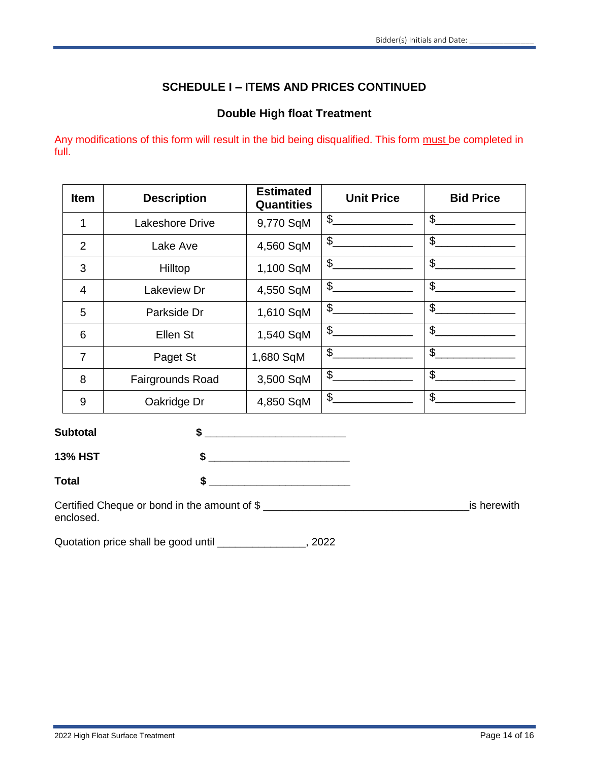# **SCHEDULE I – ITEMS AND PRICES CONTINUED**

# **Double High float Treatment**

Any modifications of this form will result in the bid being disqualified. This form must be completed in full.

| <b>Item</b>    | <b>Description</b>     | <b>Estimated</b><br><b>Quantities</b> | <b>Unit Price</b> | <b>Bid Price</b>          |
|----------------|------------------------|---------------------------------------|-------------------|---------------------------|
| 1              | <b>Lakeshore Drive</b> | 9,770 SqM                             | \$                | \$                        |
| $\overline{2}$ | Lake Ave               | 4,560 SqM                             | \$                | $\boldsymbol{\mathsf{S}}$ |
| 3              | Hilltop                | 1,100 SqM                             | \$                | $\frac{1}{2}$             |
| $\overline{4}$ | Lakeview Dr            | 4,550 SqM                             | \$                | \$                        |
| 5              | Parkside Dr            | 1,610 SqM                             | \$                | \$                        |
| 6              | Ellen St               | 1,540 SqM                             | \$                | $\mathfrak{S}$            |
| $\overline{7}$ | Paget St               | 1,680 SqM                             | \$                | \$                        |
| 8              | Fairgrounds Road       | 3,500 SqM                             | \$                | \$                        |
| 9              | Oakridge Dr            | 4,850 SqM                             | \$                | \$                        |

| <b>Subtotal</b>                              |             |
|----------------------------------------------|-------------|
| <b>13% HST</b>                               |             |
| <b>Total</b>                                 |             |
| Certified Cheque or bond in the amount of \$ | is herewith |

Quotation price shall be good until \_\_\_\_\_\_\_\_\_\_\_\_\_\_\_, 2022

enclosed.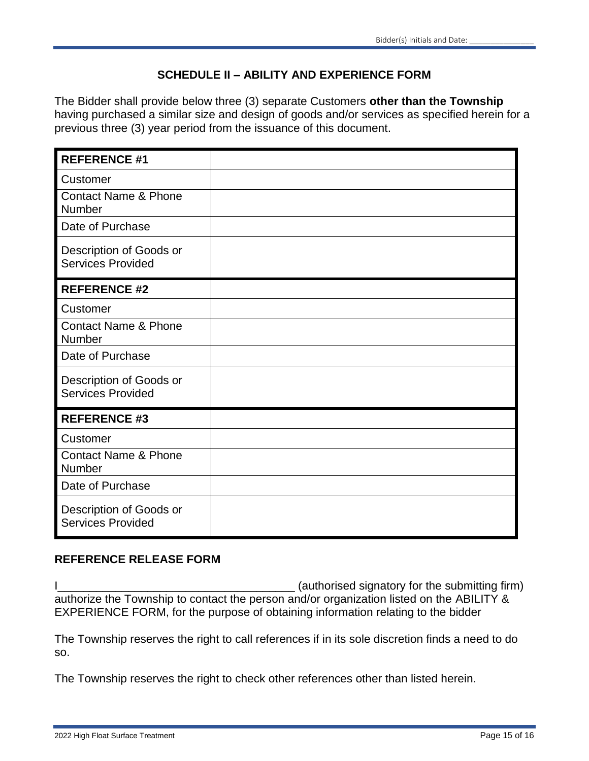# **SCHEDULE II – ABILITY AND EXPERIENCE FORM**

The Bidder shall provide below three (3) separate Customers **other than the Township**  having purchased a similar size and design of goods and/or services as specified herein for a previous three (3) year period from the issuance of this document.

| <b>REFERENCE #1</b>                                 |  |
|-----------------------------------------------------|--|
| Customer                                            |  |
| <b>Contact Name &amp; Phone</b><br>Number           |  |
| Date of Purchase                                    |  |
| Description of Goods or<br><b>Services Provided</b> |  |
| <b>REFERENCE #2</b>                                 |  |
| Customer                                            |  |
| <b>Contact Name &amp; Phone</b><br>Number           |  |
| Date of Purchase                                    |  |
| Description of Goods or<br><b>Services Provided</b> |  |
| <b>REFERENCE #3</b>                                 |  |
| Customer                                            |  |
| <b>Contact Name &amp; Phone</b><br>Number           |  |
| Date of Purchase                                    |  |
| Description of Goods or<br><b>Services Provided</b> |  |

# **REFERENCE RELEASE FORM**

I\_\_\_\_\_\_\_\_\_\_\_\_\_\_\_\_\_\_\_\_\_\_\_\_\_\_\_\_\_\_\_\_\_\_\_\_\_ (authorised signatory for the submitting firm) authorize the Township to contact the person and/or organization listed on the ABILITY & EXPERIENCE FORM, for the purpose of obtaining information relating to the bidder

The Township reserves the right to call references if in its sole discretion finds a need to do so.

The Township reserves the right to check other references other than listed herein.